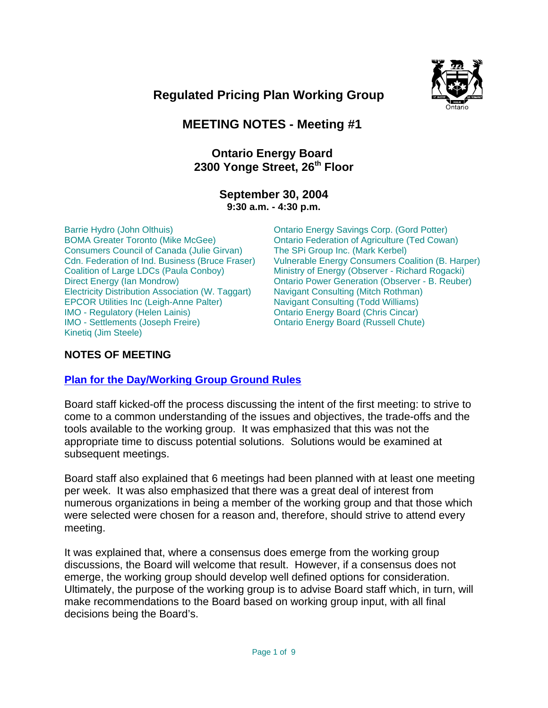



# **MEETING NOTES - Meeting #1**

# **Ontario Energy Board**  2300 Yonge Street, 26<sup>th</sup> Floor

## **September 30, 2004 9:30 a.m. - 4:30 p.m.**

Barrie Hydro (John Olthuis) BOMA Greater Toronto (Mike McGee) Consumers Council of Canada (Julie Girvan) Cdn. Federation of Ind. Business (Bruce Fraser) Coalition of Large LDCs (Paula Conboy) Direct Energy (Ian Mondrow) Electricity Distribution Association (W. Taggart) EPCOR Utilities Inc (Leigh-Anne Palter) IMO - Regulatory (Helen Lainis) IMO - Settlements (Joseph Freire) Kinetiq (Jim Steele)

Ontario Energy Savings Corp. (Gord Potter) Ontario Federation of Agriculture (Ted Cowan) The SPi Group Inc. (Mark Kerbel) Vulnerable Energy Consumers Coalition (B. Harper) Ministry of Energy (Observer - Richard Rogacki) Ontario Power Generation (Observer - B. Reuber) Navigant Consulting (Mitch Rothman) Navigant Consulting (Todd Williams) Ontario Energy Board (Chris Cincar) Ontario Energy Board (Russell Chute)

## **NOTES OF MEETING**

# **Plan for the Day/Working Group Ground Rules**

Board staff kicked-off the process discussing the intent of the first meeting: to strive to come to a common understanding of the issues and objectives, the trade-offs and the tools available to the working group. It was emphasized that this was not the appropriate time to discuss potential solutions. Solutions would be examined at subsequent meetings.

Board staff also explained that 6 meetings had been planned with at least one meeting per week. It was also emphasized that there was a great deal of interest from numerous organizations in being a member of the working group and that those which were selected were chosen for a reason and, therefore, should strive to attend every meeting.

It was explained that, where a consensus does emerge from the working group discussions, the Board will welcome that result. However, if a consensus does not emerge, the working group should develop well defined options for consideration. Ultimately, the purpose of the working group is to advise Board staff which, in turn, will make recommendations to the Board based on working group input, with all final decisions being the Board's.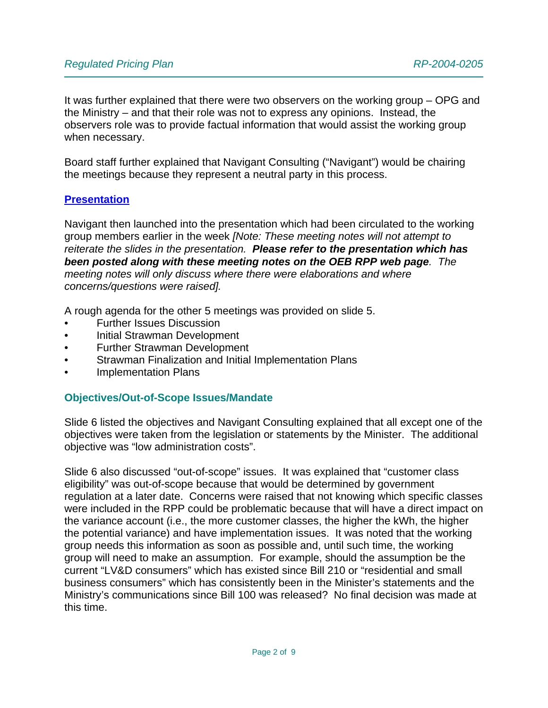It was further explained that there were two observers on the working group – OPG and the Ministry – and that their role was not to express any opinions. Instead, the observers role was to provide factual information that would assist the working group when necessary.

Board staff further explained that Navigant Consulting ("Navigant") would be chairing the meetings because they represent a neutral party in this process.

### **Presentation**

Navigant then launched into the presentation which had been circulated to the working group members earlier in the week *[Note: These meeting notes will not attempt to reiterate the slides in the presentation. Please refer to the presentation which has been posted along with these meeting notes on the OEB RPP web page. The meeting notes will only discuss where there were elaborations and where concerns/questions were raised].*

A rough agenda for the other 5 meetings was provided on slide 5.

- Further Issues Discussion
- Initial Strawman Development
- Further Strawman Development
- Strawman Finalization and Initial Implementation Plans
- Implementation Plans

### **Objectives/Out-of-Scope Issues/Mandate**

Slide 6 listed the objectives and Navigant Consulting explained that all except one of the objectives were taken from the legislation or statements by the Minister. The additional objective was "low administration costs".

Slide 6 also discussed "out-of-scope" issues. It was explained that "customer class eligibility" was out-of-scope because that would be determined by government regulation at a later date. Concerns were raised that not knowing which specific classes were included in the RPP could be problematic because that will have a direct impact on the variance account (i.e., the more customer classes, the higher the kWh, the higher the potential variance) and have implementation issues. It was noted that the working group needs this information as soon as possible and, until such time, the working group will need to make an assumption. For example, should the assumption be the current "LV&D consumers" which has existed since Bill 210 or "residential and small business consumers" which has consistently been in the Minister's statements and the Ministry's communications since Bill 100 was released? No final decision was made at this time.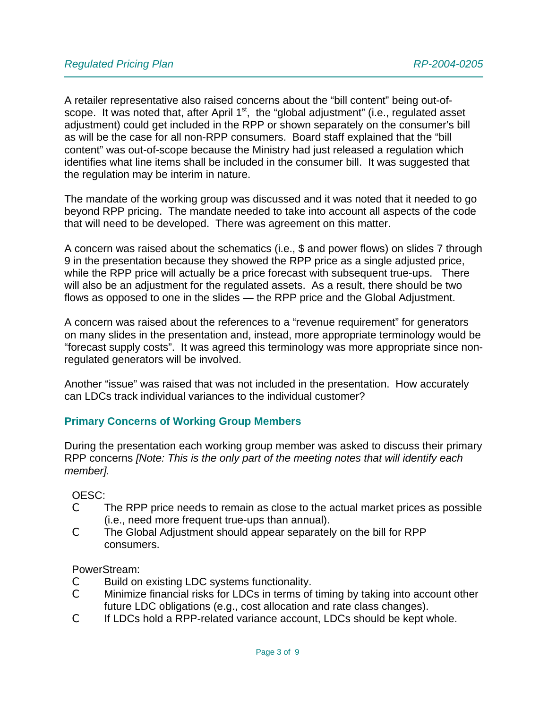A retailer representative also raised concerns about the "bill content" being out-ofscope. It was noted that, after April  $1<sup>st</sup>$ , the "global adjustment" (i.e., regulated asset adjustment) could get included in the RPP or shown separately on the consumer's bill as will be the case for all non-RPP consumers. Board staff explained that the "bill content" was out-of-scope because the Ministry had just released a regulation which identifies what line items shall be included in the consumer bill. It was suggested that the regulation may be interim in nature.

The mandate of the working group was discussed and it was noted that it needed to go beyond RPP pricing. The mandate needed to take into account all aspects of the code that will need to be developed. There was agreement on this matter.

A concern was raised about the schematics (i.e., \$ and power flows) on slides 7 through 9 in the presentation because they showed the RPP price as a single adjusted price, while the RPP price will actually be a price forecast with subsequent true-ups. There will also be an adjustment for the regulated assets. As a result, there should be two flows as opposed to one in the slides — the RPP price and the Global Adjustment.

A concern was raised about the references to a "revenue requirement" for generators on many slides in the presentation and, instead, more appropriate terminology would be "forecast supply costs". It was agreed this terminology was more appropriate since nonregulated generators will be involved.

Another "issue" was raised that was not included in the presentation. How accurately can LDCs track individual variances to the individual customer?

## **Primary Concerns of Working Group Members**

During the presentation each working group member was asked to discuss their primary RPP concerns *[Note: This is the only part of the meeting notes that will identify each member].*

### OESC:

- C The RPP price needs to remain as close to the actual market prices as possible (i.e., need more frequent true-ups than annual).
- C The Global Adjustment should appear separately on the bill for RPP consumers.

### PowerStream:

- C Build on existing LDC systems functionality.
- C Minimize financial risks for LDCs in terms of timing by taking into account other future LDC obligations (e.g., cost allocation and rate class changes).
- C If LDCs hold a RPP-related variance account, LDCs should be kept whole.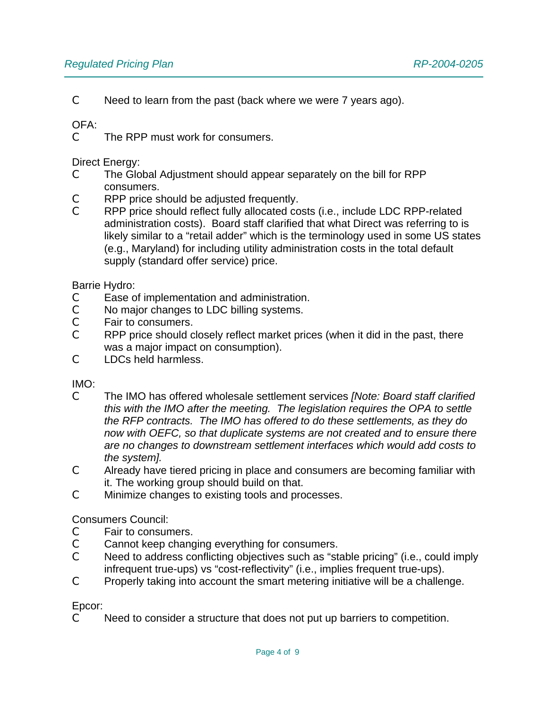C Need to learn from the past (back where we were 7 years ago).

## OFA:

C The RPP must work for consumers.

Direct Energy:

- C The Global Adjustment should appear separately on the bill for RPP consumers.
- C RPP price should be adjusted frequently.
- C RPP price should reflect fully allocated costs (i.e., include LDC RPP-related administration costs). Board staff clarified that what Direct was referring to is likely similar to a "retail adder" which is the terminology used in some US states (e.g., Maryland) for including utility administration costs in the total default supply (standard offer service) price.

### Barrie Hydro:

- C Ease of implementation and administration.<br>C No maior changes to LDC billing systems.
- No major changes to LDC billing systems.
- C Fair to consumers.
- C RPP price should closely reflect market prices (when it did in the past, there was a major impact on consumption).
- C LDCs held harmless.

### IMO:

- C The IMO has offered wholesale settlement services *[Note: Board staff clarified this with the IMO after the meeting. The legislation requires the OPA to settle the RFP contracts. The IMO has offered to do these settlements, as they do now with OEFC, so that duplicate systems are not created and to ensure there are no changes to downstream settlement interfaces which would add costs to the system].*
- C Already have tiered pricing in place and consumers are becoming familiar with it. The working group should build on that.
- C Minimize changes to existing tools and processes.

### Consumers Council:

- C Fair to consumers.
- C Cannot keep changing everything for consumers.
- C Need to address conflicting objectives such as "stable pricing" (i.e., could imply infrequent true-ups) vs "cost-reflectivity" (i.e., implies frequent true-ups).
- C Properly taking into account the smart metering initiative will be a challenge.

### Epcor:

C Need to consider a structure that does not put up barriers to competition.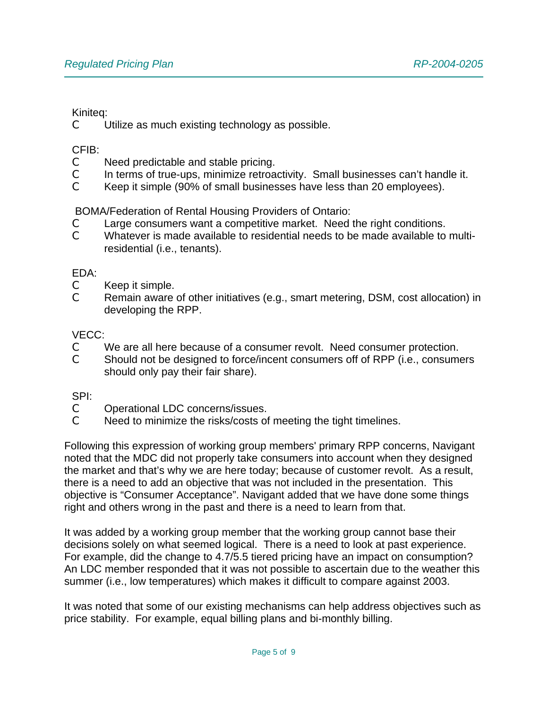#### Kiniteq:

C Utilize as much existing technology as possible.

#### CFIB:

- C Need predictable and stable pricing.
- C In terms of true-ups, minimize retroactivity. Small businesses can't handle it.
- C Keep it simple (90% of small businesses have less than 20 employees).

BOMA/Federation of Rental Housing Providers of Ontario:

- $\mathbb C$  Large consumers want a competitive market. Need the right conditions.
- C Whatever is made available to residential needs to be made available to multiresidential (i.e., tenants).

#### EDA:

- C Keep it simple.
- C Remain aware of other initiatives (e.g., smart metering, DSM, cost allocation) in developing the RPP.

### VECC:

- C We are all here because of a consumer revolt. Need consumer protection.
- C Should not be designed to force/incent consumers off of RPP (i.e., consumers should only pay their fair share).

### SPI:

- C Operational LDC concerns/issues.
- C Need to minimize the risks/costs of meeting the tight timelines.

Following this expression of working group members' primary RPP concerns, Navigant noted that the MDC did not properly take consumers into account when they designed the market and that's why we are here today; because of customer revolt. As a result, there is a need to add an objective that was not included in the presentation. This objective is "Consumer Acceptance". Navigant added that we have done some things right and others wrong in the past and there is a need to learn from that.

It was added by a working group member that the working group cannot base their decisions solely on what seemed logical. There is a need to look at past experience. For example, did the change to 4.7/5.5 tiered pricing have an impact on consumption? An LDC member responded that it was not possible to ascertain due to the weather this summer (i.e., low temperatures) which makes it difficult to compare against 2003.

It was noted that some of our existing mechanisms can help address objectives such as price stability. For example, equal billing plans and bi-monthly billing.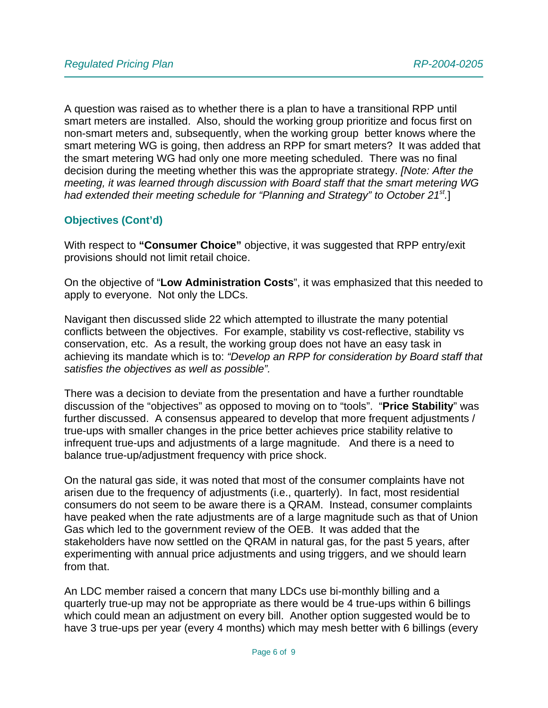A question was raised as to whether there is a plan to have a transitional RPP until smart meters are installed. Also, should the working group prioritize and focus first on non-smart meters and, subsequently, when the working group better knows where the smart metering WG is going, then address an RPP for smart meters? It was added that the smart metering WG had only one more meeting scheduled. There was no final decision during the meeting whether this was the appropriate strategy. *[Note: After the meeting, it was learned through discussion with Board staff that the smart metering WG had extended their meeting schedule for "Planning and Strategy" to October 21st.*]

## **Objectives (Cont'd)**

With respect to **"Consumer Choice"** objective, it was suggested that RPP entry/exit provisions should not limit retail choice.

On the objective of "**Low Administration Costs**", it was emphasized that this needed to apply to everyone. Not only the LDCs.

Navigant then discussed slide 22 which attempted to illustrate the many potential conflicts between the objectives. For example, stability vs cost-reflective, stability vs conservation, etc. As a result, the working group does not have an easy task in achieving its mandate which is to: *"Develop an RPP for consideration by Board staff that satisfies the objectives as well as possible".*

There was a decision to deviate from the presentation and have a further roundtable discussion of the "objectives" as opposed to moving on to "tools". "**Price Stability**" was further discussed. A consensus appeared to develop that more frequent adjustments / true-ups with smaller changes in the price better achieves price stability relative to infrequent true-ups and adjustments of a large magnitude. And there is a need to balance true-up/adjustment frequency with price shock.

On the natural gas side, it was noted that most of the consumer complaints have not arisen due to the frequency of adjustments (i.e., quarterly). In fact, most residential consumers do not seem to be aware there is a QRAM. Instead, consumer complaints have peaked when the rate adjustments are of a large magnitude such as that of Union Gas which led to the government review of the OEB. It was added that the stakeholders have now settled on the QRAM in natural gas, for the past 5 years, after experimenting with annual price adjustments and using triggers, and we should learn from that.

An LDC member raised a concern that many LDCs use bi-monthly billing and a quarterly true-up may not be appropriate as there would be 4 true-ups within 6 billings which could mean an adjustment on every bill. Another option suggested would be to have 3 true-ups per year (every 4 months) which may mesh better with 6 billings (every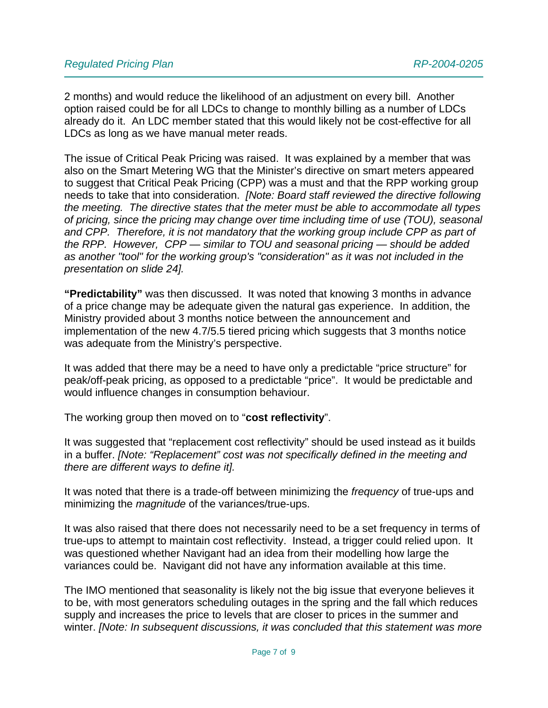2 months) and would reduce the likelihood of an adjustment on every bill. Another option raised could be for all LDCs to change to monthly billing as a number of LDCs already do it. An LDC member stated that this would likely not be cost-effective for all LDCs as long as we have manual meter reads.

The issue of Critical Peak Pricing was raised. It was explained by a member that was also on the Smart Metering WG that the Minister's directive on smart meters appeared to suggest that Critical Peak Pricing (CPP) was a must and that the RPP working group needs to take that into consideration. *[Note: Board staff reviewed the directive following the meeting. The directive states that the meter must be able to accommodate all types of pricing, since the pricing may change over time including time of use (TOU), seasonal and CPP. Therefore, it is not mandatory that the working group include CPP as part of the RPP. However, CPP — similar to TOU and seasonal pricing — should be added as another "tool" for the working group's "consideration" as it was not included in the presentation on slide 24].*

**"Predictability"** was then discussed. It was noted that knowing 3 months in advance of a price change may be adequate given the natural gas experience. In addition, the Ministry provided about 3 months notice between the announcement and implementation of the new 4.7/5.5 tiered pricing which suggests that 3 months notice was adequate from the Ministry's perspective.

It was added that there may be a need to have only a predictable "price structure" for peak/off-peak pricing, as opposed to a predictable "price". It would be predictable and would influence changes in consumption behaviour.

The working group then moved on to "**cost reflectivity**".

It was suggested that "replacement cost reflectivity" should be used instead as it builds in a buffer. *[Note: "Replacement" cost was not specifically defined in the meeting and there are different ways to define it].*

It was noted that there is a trade-off between minimizing the *frequency* of true-ups and minimizing the *magnitude* of the variances/true-ups.

It was also raised that there does not necessarily need to be a set frequency in terms of true-ups to attempt to maintain cost reflectivity. Instead, a trigger could relied upon. It was questioned whether Navigant had an idea from their modelling how large the variances could be. Navigant did not have any information available at this time.

The IMO mentioned that seasonality is likely not the big issue that everyone believes it to be, with most generators scheduling outages in the spring and the fall which reduces supply and increases the price to levels that are closer to prices in the summer and winter. *[Note: In subsequent discussions, it was concluded that this statement was more*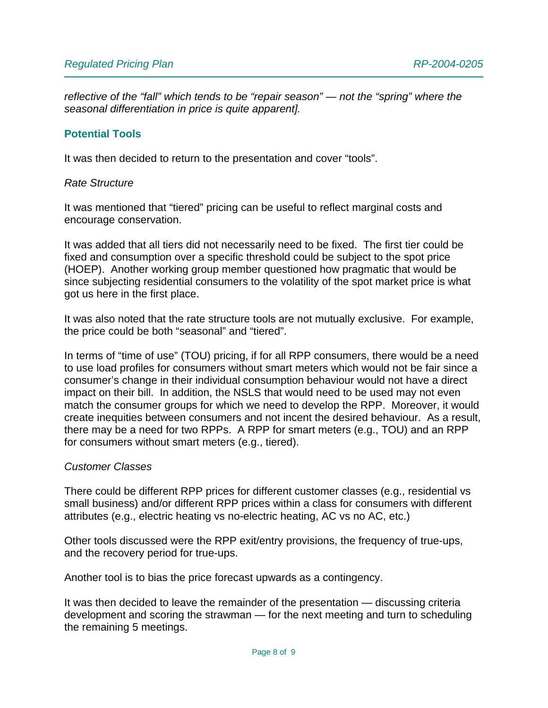*reflective of the "fall" which tends to be "repair season" — not the "spring" where the seasonal differentiation in price is quite apparent].*

#### **Potential Tools**

It was then decided to return to the presentation and cover "tools".

#### *Rate Structure*

It was mentioned that "tiered" pricing can be useful to reflect marginal costs and encourage conservation.

It was added that all tiers did not necessarily need to be fixed. The first tier could be fixed and consumption over a specific threshold could be subject to the spot price (HOEP). Another working group member questioned how pragmatic that would be since subjecting residential consumers to the volatility of the spot market price is what got us here in the first place.

It was also noted that the rate structure tools are not mutually exclusive. For example, the price could be both "seasonal" and "tiered".

In terms of "time of use" (TOU) pricing, if for all RPP consumers, there would be a need to use load profiles for consumers without smart meters which would not be fair since a consumer's change in their individual consumption behaviour would not have a direct impact on their bill. In addition, the NSLS that would need to be used may not even match the consumer groups for which we need to develop the RPP. Moreover, it would create inequities between consumers and not incent the desired behaviour. As a result, there may be a need for two RPPs. A RPP for smart meters (e.g., TOU) and an RPP for consumers without smart meters (e.g., tiered).

#### *Customer Classes*

There could be different RPP prices for different customer classes (e.g., residential vs small business) and/or different RPP prices within a class for consumers with different attributes (e.g., electric heating vs no-electric heating, AC vs no AC, etc.)

Other tools discussed were the RPP exit/entry provisions, the frequency of true-ups, and the recovery period for true-ups.

Another tool is to bias the price forecast upwards as a contingency.

It was then decided to leave the remainder of the presentation — discussing criteria development and scoring the strawman — for the next meeting and turn to scheduling the remaining 5 meetings.